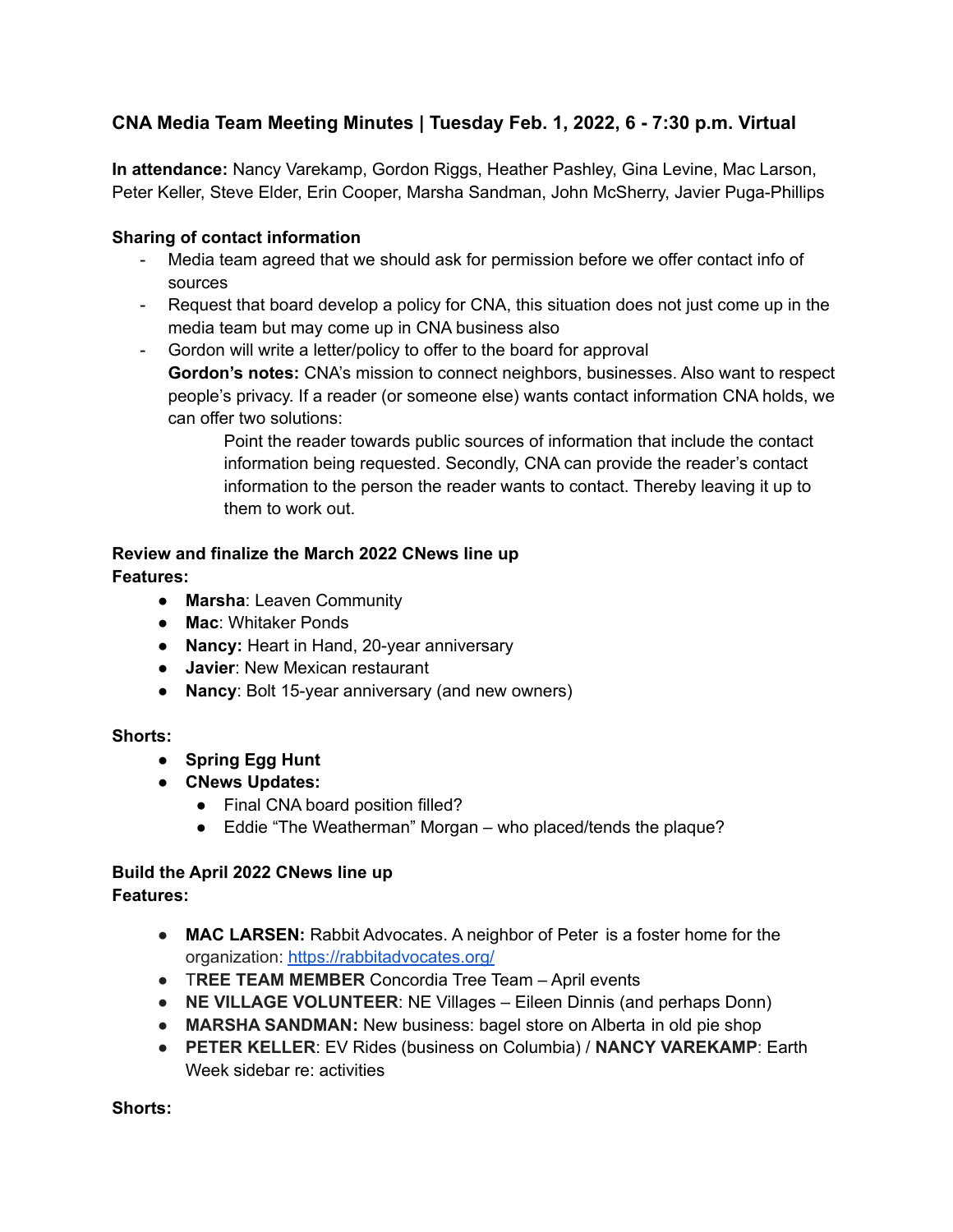## **CNA Media Team Meeting Minutes | Tuesday Feb. 1, 2022, 6 - 7:30 p.m. Virtual**

**In attendance:** Nancy Varekamp, Gordon Riggs, Heather Pashley, Gina Levine, Mac Larson, Peter Keller, Steve Elder, Erin Cooper, Marsha Sandman, John McSherry, Javier Puga-Phillips

### **Sharing of contact information**

- Media team agreed that we should ask for permission before we offer contact info of sources
- Request that board develop a policy for CNA, this situation does not just come up in the media team but may come up in CNA business also
- Gordon will write a letter/policy to offer to the board for approval **Gordon's notes:** CNA's mission to connect neighbors, businesses. Also want to respect people's privacy. If a reader (or someone else) wants contact information CNA holds, we can offer two solutions:

Point the reader towards public sources of information that include the contact information being requested. Secondly, CNA can provide the reader's contact information to the person the reader wants to contact. Thereby leaving it up to them to work out.

# **Review and finalize the March 2022 CNews line up**

**Features:**

- **Marsha**: Leaven Community
- **Mac**: Whitaker Ponds
- **Nancy:** Heart in Hand, 20-year anniversary
- **Javier**: New Mexican restaurant
- **Nancy**: Bolt 15-year anniversary (and new owners)

### **Shorts:**

- **Spring Egg Hunt**
- **● CNews Updates:**
	- Final CNA board position filled?
	- Eddie "The Weatherman" Morgan who placed/tends the plaque?

#### **Build the April 2022 CNews line up Features:**

- **MAC LARSEN:** Rabbit Advocates. A neighbor of Peter is a foster home for the organization: <https://rabbitadvocates.org/>
- T**REE TEAM MEMBER** Concordia Tree Team April events
- **NE VILLAGE VOLUNTEER**: NE Villages Eileen Dinnis (and perhaps Donn)
- **MARSHA SANDMAN:** New business: bagel store on Alberta in old pie shop
- **PETER KELLER**: EV Rides (business on Columbia) / **NANCY VAREKAMP**: Earth Week sidebar re: activities

**Shorts:**